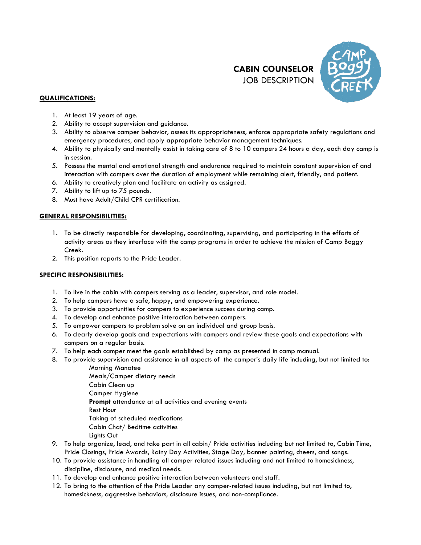



# **QUALIFICATIONS:**

- 1. At least 19 years of age.
- 2. Ability to accept supervision and guidance.
- 3. Ability to observe camper behavior, assess its appropriateness, enforce appropriate safety regulations and emergency procedures, and apply appropriate behavior management techniques.
- 4. Ability to physically and mentally assist in taking care of 8 to 10 campers 24 hours a day, each day camp is in session.
- 5. Possess the mental and emotional strength and endurance required to maintain constant supervision of and interaction with campers over the duration of employment while remaining alert, friendly, and patient.
- 6. Ability to creatively plan and facilitate an activity as assigned.
- 7. Ability to lift up to 75 pounds.
- 8. Must have Adult/Child CPR certification.

# **GENERAL RESPONSIBILITIES:**

- 1. To be directly responsible for developing, coordinating, supervising, and participating in the efforts of activity areas as they interface with the camp programs in order to achieve the mission of Camp Boggy Creek.
- 2. This position reports to the Pride Leader.

## **SPECIFIC RESPONSIBILITIES:**

- 1. To live in the cabin with campers serving as a leader, supervisor, and role model.
- 2. To help campers have a safe, happy, and empowering experience.
- 3. To provide opportunities for campers to experience success during camp.
- 4. To develop and enhance positive interaction between campers.
- 5. To empower campers to problem solve on an individual and group basis.
- 6. To clearly develop goals and expectations with campers and review these goals and expectations with campers on a regular basis.
- 7. To help each camper meet the goals established by camp as presented in camp manual.
- 8. To provide supervision and assistance in all aspects of the camper's daily life including, but not limited to: Morning Manatee

Meals/Camper dietary needs Cabin Clean up Camper Hygiene **Prompt** attendance at all activities and evening events Rest Hour Taking of scheduled medications Cabin Chat/ Bedtime activities Lights Out

- 9. To help organize, lead, and take part in all cabin/ Pride activities including but not limited to, Cabin Time, Pride Closings, Pride Awards, Rainy Day Activities, Stage Day, banner painting, cheers, and songs.
- 10. To provide assistance in handling all camper related issues including and not limited to homesickness, discipline, disclosure, and medical needs.
- 11. To develop and enhance positive interaction between volunteers and staff.
- 12. To bring to the attention of the Pride Leader any camper-related issues including, but not limited to, homesickness, aggressive behaviors, disclosure issues, and non-compliance.